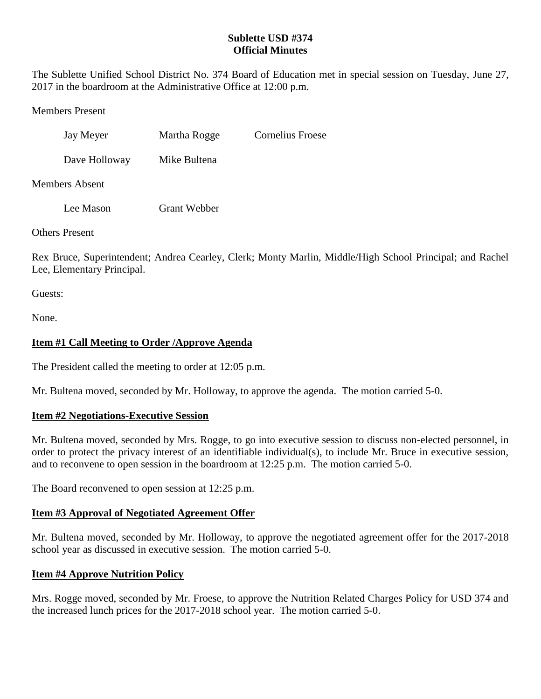#### **Sublette USD #374 Official Minutes**

The Sublette Unified School District No. 374 Board of Education met in special session on Tuesday, June 27, 2017 in the boardroom at the Administrative Office at 12:00 p.m.

Members Present

| Jay Meyer | Martha Rogge | <b>Cornelius Froese</b> |
|-----------|--------------|-------------------------|
|           |              |                         |

Dave Holloway Mike Bultena

Members Absent

Lee Mason Grant Webber

Others Present

Rex Bruce, Superintendent; Andrea Cearley, Clerk; Monty Marlin, Middle/High School Principal; and Rachel Lee, Elementary Principal.

Guests:

None.

# **Item #1 Call Meeting to Order /Approve Agenda**

The President called the meeting to order at 12:05 p.m.

Mr. Bultena moved, seconded by Mr. Holloway, to approve the agenda. The motion carried 5-0.

# **Item #2 Negotiations-Executive Session**

Mr. Bultena moved, seconded by Mrs. Rogge, to go into executive session to discuss non-elected personnel, in order to protect the privacy interest of an identifiable individual(s), to include Mr. Bruce in executive session, and to reconvene to open session in the boardroom at 12:25 p.m. The motion carried 5-0.

The Board reconvened to open session at 12:25 p.m.

# **Item #3 Approval of Negotiated Agreement Offer**

Mr. Bultena moved, seconded by Mr. Holloway, to approve the negotiated agreement offer for the 2017-2018 school year as discussed in executive session. The motion carried 5-0.

# **Item #4 Approve Nutrition Policy**

Mrs. Rogge moved, seconded by Mr. Froese, to approve the Nutrition Related Charges Policy for USD 374 and the increased lunch prices for the 2017-2018 school year. The motion carried 5-0.